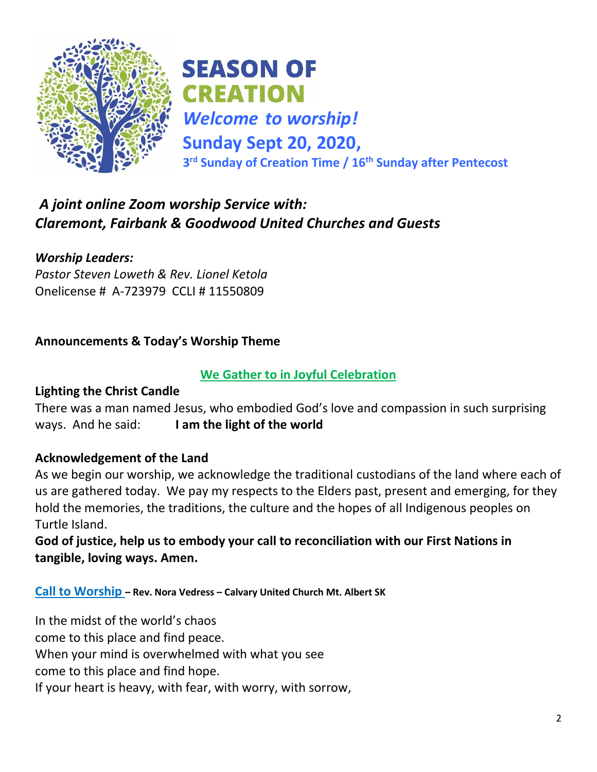

# **SEASON OF CREATION**

*Welcome to worship!*

**Sunday Sept 20, 2020, 3 rd Sunday of Creation Time / 16th Sunday after Pentecost** 

# *A joint online Zoom worship Service with: Claremont, Fairbank & Goodwood United Churches and Guests*

# *Worship Leaders:*

*Pastor Steven Loweth & Rev. Lionel Ketola* Onelicense # A-723979 CCLI # 11550809

# **Announcements & Today's Worship Theme**

# **We Gather to in Joyful Celebration**

### **Lighting the Christ Candle**

There was a man named Jesus, who embodied God's love and compassion in such surprising ways. And he said: **I am the light of the world** 

# **Acknowledgement of the Land**

As we begin our worship, we acknowledge the traditional custodians of the land where each of us are gathered today. We pay my respects to the Elders past, present and emerging, for they hold the memories, the traditions, the culture and the hopes of all Indigenous peoples on Turtle Island.

**God of justice, help us to embody your call to reconciliation with our First Nations in tangible, loving ways. Amen.** 

**Call to Worship – Rev. Nora Vedress – Calvary United Church Mt. Albert SK**

In the midst of the world's chaos come to this place and find peace. When your mind is overwhelmed with what you see come to this place and find hope. If your heart is heavy, with fear, with worry, with sorrow,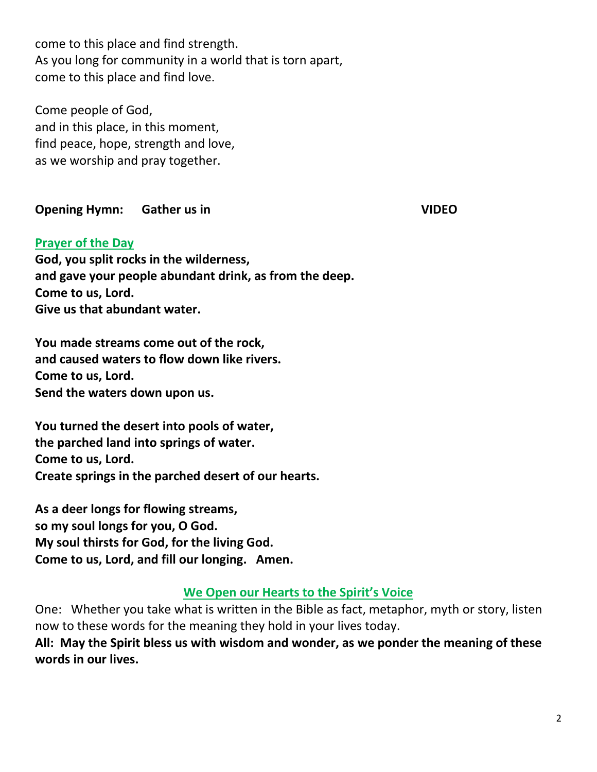come to this place and find strength. As you long for community in a world that is torn apart, come to this place and find love.

Come people of God, and in this place, in this moment, find peace, hope, strength and love, as we worship and pray together.

### **Opening Hymn: Gather us in VIDEO**

### **Prayer of the Day**

**God, you split rocks in the wilderness, and gave your people abundant drink, as from the deep. Come to us, Lord. Give us that abundant water.**

**You made streams come out of the rock, and caused waters to flow down like rivers. Come to us, Lord. Send the waters down upon us.**

**You turned the desert into pools of water, the parched land into springs of water. Come to us, Lord. Create springs in the parched desert of our hearts.**

**As a deer longs for flowing streams, so my soul longs for you, O God. My soul thirsts for God, for the living God. Come to us, Lord, and fill our longing. Amen.** 

### **We Open our Hearts to the Spirit's Voice**

One: Whether you take what is written in the Bible as fact, metaphor, myth or story, listen now to these words for the meaning they hold in your lives today. **All: May the Spirit bless us with wisdom and wonder, as we ponder the meaning of these words in our lives.**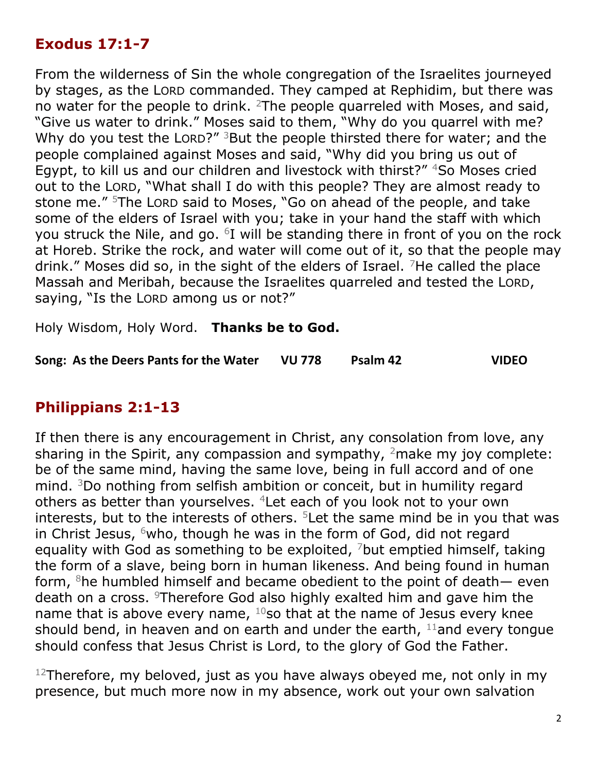# **Exodus 17:1-7**

From the wilderness of Sin the whole congregation of the Israelites journeyed by stages, as the LORD commanded. They camped at Rephidim, but there was no water for the people to drink. <sup>2</sup>The people quarreled with Moses, and said, "Give us water to drink." Moses said to them, "Why do you quarrel with me? Why do you test the LORD?" <sup>3</sup>But the people thirsted there for water; and the people complained against Moses and said, "Why did you bring us out of Egypt, to kill us and our children and livestock with thirst?" <sup>4</sup>So Moses cried out to the LORD, "What shall I do with this people? They are almost ready to stone me." <sup>5</sup>The LORD said to Moses, "Go on ahead of the people, and take some of the elders of Israel with you; take in your hand the staff with which you struck the Nile, and go. <sup>6</sup>I will be standing there in front of you on the rock at Horeb. Strike the rock, and water will come out of it, so that the people may drink." Moses did so, in the sight of the elders of Israel. <sup>7</sup>He called the place Massah and Meribah, because the Israelites quarreled and tested the LORD, saying, "Is the LORD among us or not?"

Holy Wisdom, Holy Word. **Thanks be to God.** 

**Song: As the Deers Pants for the Water VU 778 Psalm 42 VIDEO** 

# **Philippians 2:1-13**

If then there is any encouragement in Christ, any consolation from love, any sharing in the Spirit, any compassion and sympathy,  $2$  make my joy complete: be of the same mind, having the same love, being in full accord and of one mind. <sup>3</sup>Do nothing from selfish ambition or conceit, but in humility regard others as better than yourselves. <sup>4</sup>Let each of you look not to your own interests, but to the interests of others.  $5$ Let the same mind be in you that was in Christ Jesus,  $6$ who, though he was in the form of God, did not regard equality with God as something to be exploited,  $\frac{7}{1}$  but emptied himself, taking the form of a slave, being born in human likeness. And being found in human form,  $8$ he humbled himself and became obedient to the point of death— even death on a cross. <sup>9</sup>Therefore God also highly exalted him and gave him the name that is above every name,  $10$ so that at the name of Jesus every knee should bend, in heaven and on earth and under the earth,  $11$  and every tongue should confess that Jesus Christ is Lord, to the glory of God the Father.

 $12$ Therefore, my beloved, just as you have always obeyed me, not only in my presence, but much more now in my absence, work out your own salvation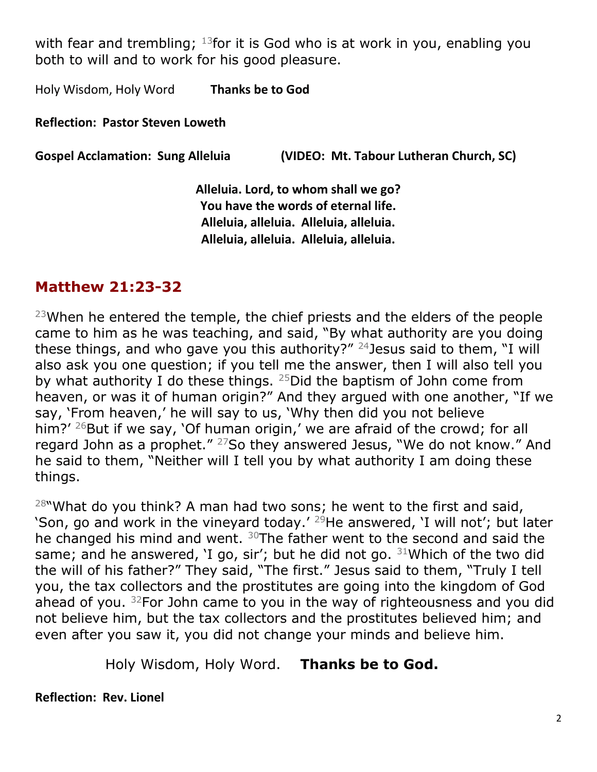with fear and trembling;  $13$  for it is God who is at work in you, enabling you both to will and to work for his good pleasure.

Holy Wisdom, Holy Word **Thanks be to God** 

**Reflection: Pastor Steven Loweth** 

**Gospel Acclamation: Sung Alleluia (VIDEO: Mt. Tabour Lutheran Church, SC)** 

**Alleluia. Lord, to whom shall we go? You have the words of eternal life. Alleluia, alleluia. Alleluia, alleluia. Alleluia, alleluia. Alleluia, alleluia.**

# **Matthew 21:23-32**

 $23$ When he entered the temple, the chief priests and the elders of the people came to him as he was teaching, and said, "By what authority are you doing these things, and who gave you this authority?" <sup>24</sup> Jesus said to them, "I will also ask you one question; if you tell me the answer, then I will also tell you by what authority I do these things.  $25$ Did the baptism of John come from heaven, or was it of human origin?" And they argued with one another, "If we say, 'From heaven,' he will say to us, 'Why then did you not believe him?' <sup>26</sup>But if we say, 'Of human origin,' we are afraid of the crowd; for all regard John as a prophet." <sup>27</sup>So they answered Jesus, "We do not know." And he said to them, "Neither will I tell you by what authority I am doing these things.

 $28$ "What do you think? A man had two sons; he went to the first and said, 'Son, go and work in the vineyard today.' <sup>29</sup>He answered, 'I will not'; but later he changed his mind and went. <sup>30</sup>The father went to the second and said the same; and he answered, 'I go, sir'; but he did not go.  $31$ Which of the two did the will of his father?" They said, "The first." Jesus said to them, "Truly I tell you, the tax collectors and the prostitutes are going into the kingdom of God ahead of you.  $32$  For John came to you in the way of righteousness and you did not believe him, but the tax collectors and the prostitutes believed him; and even after you saw it, you did not change your minds and believe him.

Holy Wisdom, Holy Word. **Thanks be to God.**

**Reflection: Rev. Lionel**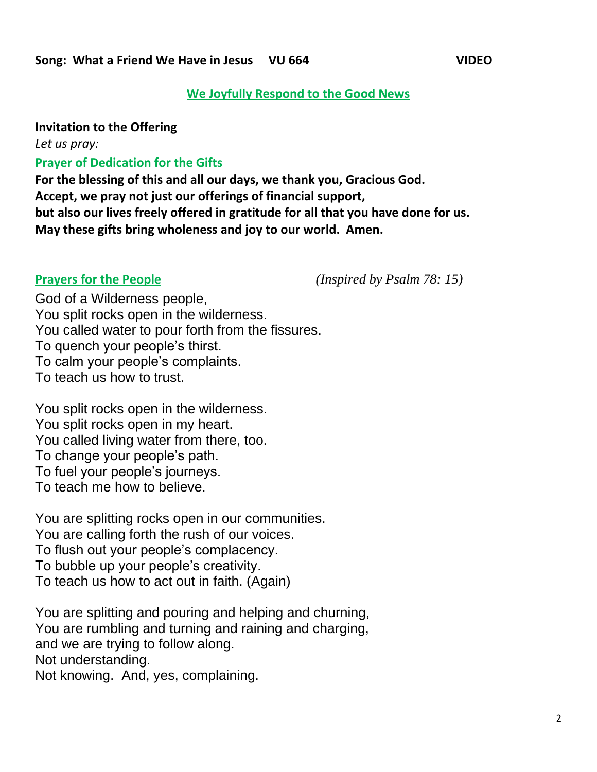### **Song: What a Friend We Have in Jesus VU 664 VIDEO**

### **We Joyfully Respond to the Good News**

### **Invitation to the Offering**

*Let us pray:* 

### **Prayer of Dedication for the Gifts**

**For the blessing of this and all our days, we thank you, Gracious God. Accept, we pray not just our offerings of financial support, but also our lives freely offered in gratitude for all that you have done for us. May these gifts bring wholeness and joy to our world. Amen.** 

**Prayers for the People** *(Inspired by Psalm 78: 15)*

God of a Wilderness people, You split rocks open in the wilderness. You called water to pour forth from the fissures. To quench your people's thirst. To calm your people's complaints. To teach us how to trust.

You split rocks open in the wilderness. You split rocks open in my heart. You called living water from there, too. To change your people's path. To fuel your people's journeys. To teach me how to believe.

You are splitting rocks open in our communities. You are calling forth the rush of our voices. To flush out your people's complacency. To bubble up your people's creativity. To teach us how to act out in faith. (Again)

You are splitting and pouring and helping and churning, You are rumbling and turning and raining and charging, and we are trying to follow along. Not understanding. Not knowing. And, yes, complaining.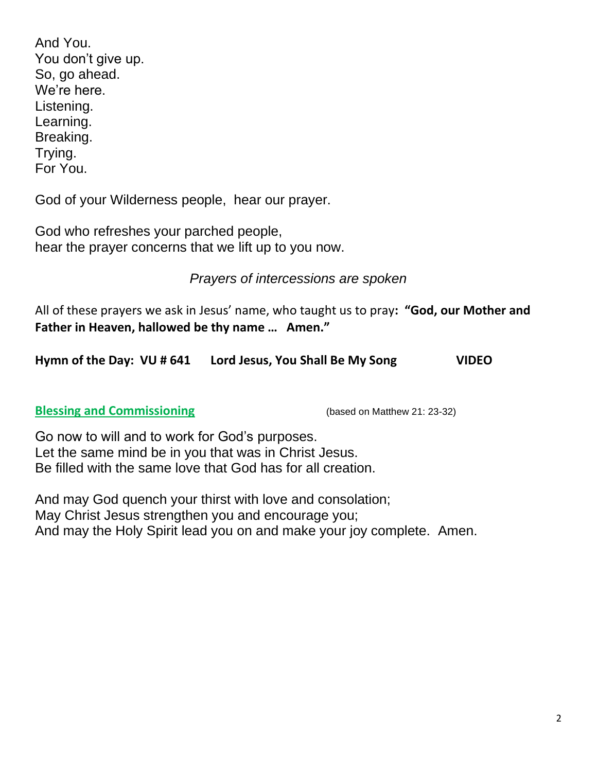And You. You don't give up. So, go ahead. We're here. Listening. Learning. Breaking. Trying. For You.

God of your Wilderness people, hear our prayer.

God who refreshes your parched people, hear the prayer concerns that we lift up to you now.

*Prayers of intercessions are spoken*

All of these prayers we ask in Jesus' name, who taught us to pray**: "God, our Mother and Father in Heaven, hallowed be thy name … Amen."** 

|  | Hymn of the Day: VU #641 | Lord Jesus, You Shall Be My Song<br><b>VIDEO</b> |
|--|--------------------------|--------------------------------------------------|
|--|--------------------------|--------------------------------------------------|

**Blessing and Commissioning** (based on Matthew 21: 23-32)

Go now to will and to work for God's purposes. Let the same mind be in you that was in Christ Jesus. Be filled with the same love that God has for all creation.

And may God quench your thirst with love and consolation; May Christ Jesus strengthen you and encourage you; And may the Holy Spirit lead you on and make your joy complete. Amen.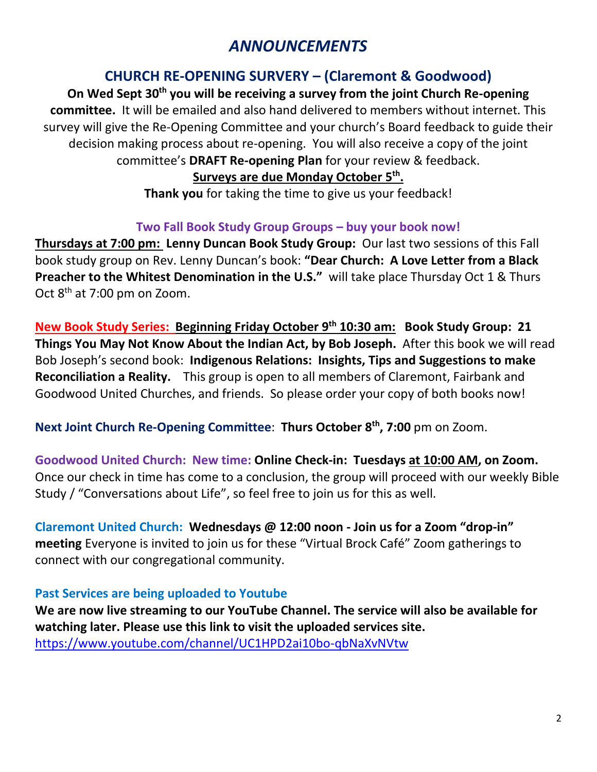# *ANNOUNCEMENTS*

### **CHURCH RE-OPENING SURVERY – (Claremont & Goodwood)**

**On Wed Sept 30th you will be receiving a survey from the joint Church Re-opening committee.** It will be emailed and also hand delivered to members without internet. This survey will give the Re-Opening Committee and your church's Board feedback to guide their decision making process about re-opening. You will also receive a copy of the joint committee's **DRAFT Re-opening Plan** for your review & feedback.

### **Surveys are due Monday October 5th .**

**Thank you** for taking the time to give us your feedback!

### **Two Fall Book Study Group Groups – buy your book now!**

**Thursdays at 7:00 pm: Lenny Duncan Book Study Group:** Our last two sessions of this Fall book study group on Rev. Lenny Duncan's book: **"Dear Church: A Love Letter from a Black Preacher to the Whitest Denomination in the U.S."** will take place Thursday Oct 1 & Thurs Oct 8<sup>th</sup> at 7:00 pm on Zoom.

**New Book Study Series: Beginning Friday October 9th 10:30 am: Book Study Group: 21 Things You May Not Know About the Indian Act, by Bob Joseph.** After this book we will read Bob Joseph's second book: **Indigenous Relations: Insights, Tips and Suggestions to make Reconciliation a Reality.** This group is open to all members of Claremont, Fairbank and Goodwood United Churches, and friends. So please order your copy of both books now!

**Next Joint Church Re-Opening Committee**: **Thurs October 8th, 7:00** pm on Zoom.

**Goodwood United Church: New time: Online Check-in: Tuesdays at 10:00 AM, on Zoom.**  Once our check in time has come to a conclusion, the group will proceed with our weekly Bible Study / "Conversations about Life", so feel free to join us for this as well.

**Claremont United Church: Wednesdays @ 12:00 noon - Join us for a Zoom "drop-in" meeting** Everyone is invited to join us for these "Virtual Brock Café" Zoom gatherings to connect with our congregational community.

### **Past Services are being uploaded to Youtube**

**We are now live streaming to our YouTube Channel. The service will also be available for watching later. Please use this link to visit the uploaded services site.**  <https://www.youtube.com/channel/UC1HPD2ai10bo-qbNaXvNVtw>